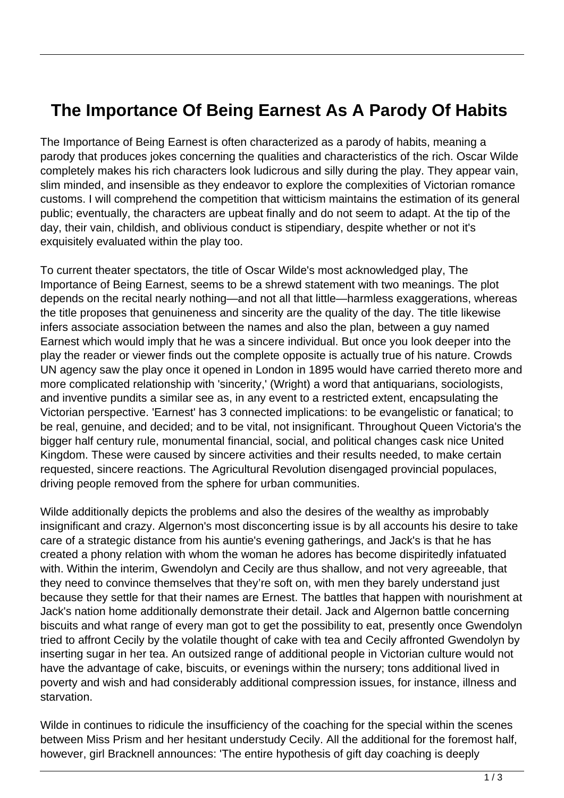## **The Importance Of Being Earnest As A Parody Of Habits**

The Importance of Being Earnest is often characterized as a parody of habits, meaning a parody that produces jokes concerning the qualities and characteristics of the rich. Oscar Wilde completely makes his rich characters look ludicrous and silly during the play. They appear vain, slim minded, and insensible as they endeavor to explore the complexities of Victorian romance customs. I will comprehend the competition that witticism maintains the estimation of its general public; eventually, the characters are upbeat finally and do not seem to adapt. At the tip of the day, their vain, childish, and oblivious conduct is stipendiary, despite whether or not it's exquisitely evaluated within the play too.

To current theater spectators, the title of Oscar Wilde's most acknowledged play, The Importance of Being Earnest, seems to be a shrewd statement with two meanings. The plot depends on the recital nearly nothing—and not all that little—harmless exaggerations, whereas the title proposes that genuineness and sincerity are the quality of the day. The title likewise infers associate association between the names and also the plan, between a guy named Earnest which would imply that he was a sincere individual. But once you look deeper into the play the reader or viewer finds out the complete opposite is actually true of his nature. Crowds UN agency saw the play once it opened in London in 1895 would have carried thereto more and more complicated relationship with 'sincerity,' (Wright) a word that antiquarians, sociologists, and inventive pundits a similar see as, in any event to a restricted extent, encapsulating the Victorian perspective. 'Earnest' has 3 connected implications: to be evangelistic or fanatical; to be real, genuine, and decided; and to be vital, not insignificant. Throughout Queen Victoria's the bigger half century rule, monumental financial, social, and political changes cask nice United Kingdom. These were caused by sincere activities and their results needed, to make certain requested, sincere reactions. The Agricultural Revolution disengaged provincial populaces, driving people removed from the sphere for urban communities.

Wilde additionally depicts the problems and also the desires of the wealthy as improbably insignificant and crazy. Algernon's most disconcerting issue is by all accounts his desire to take care of a strategic distance from his auntie's evening gatherings, and Jack's is that he has created a phony relation with whom the woman he adores has become dispiritedly infatuated with. Within the interim, Gwendolyn and Cecily are thus shallow, and not very agreeable, that they need to convince themselves that they're soft on, with men they barely understand just because they settle for that their names are Ernest. The battles that happen with nourishment at Jack's nation home additionally demonstrate their detail. Jack and Algernon battle concerning biscuits and what range of every man got to get the possibility to eat, presently once Gwendolyn tried to affront Cecily by the volatile thought of cake with tea and Cecily affronted Gwendolyn by inserting sugar in her tea. An outsized range of additional people in Victorian culture would not have the advantage of cake, biscuits, or evenings within the nursery; tons additional lived in poverty and wish and had considerably additional compression issues, for instance, illness and starvation.

Wilde in continues to ridicule the insufficiency of the coaching for the special within the scenes between Miss Prism and her hesitant understudy Cecily. All the additional for the foremost half, however, girl Bracknell announces: 'The entire hypothesis of gift day coaching is deeply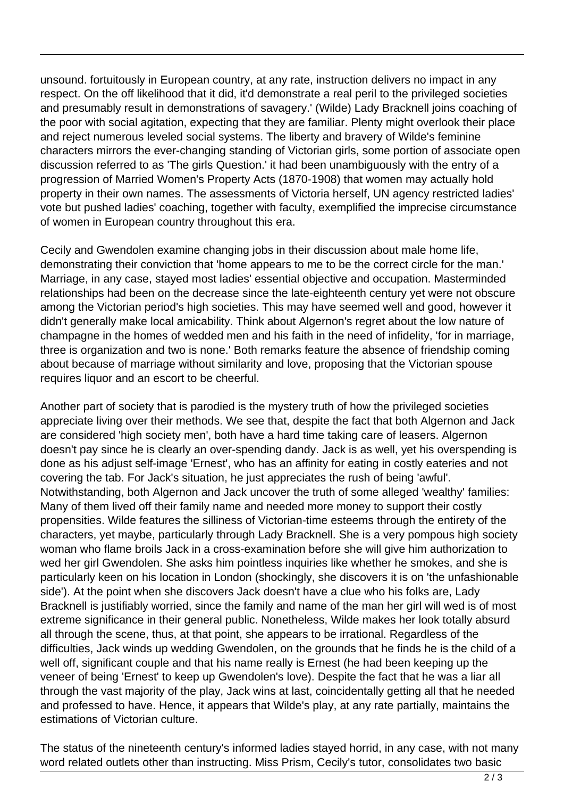unsound. fortuitously in European country, at any rate, instruction delivers no impact in any respect. On the off likelihood that it did, it'd demonstrate a real peril to the privileged societies and presumably result in demonstrations of savagery.' (Wilde) Lady Bracknell joins coaching of the poor with social agitation, expecting that they are familiar. Plenty might overlook their place and reject numerous leveled social systems. The liberty and bravery of Wilde's feminine characters mirrors the ever-changing standing of Victorian girls, some portion of associate open discussion referred to as 'The girls Question.' it had been unambiguously with the entry of a progression of Married Women's Property Acts (1870-1908) that women may actually hold property in their own names. The assessments of Victoria herself, UN agency restricted ladies' vote but pushed ladies' coaching, together with faculty, exemplified the imprecise circumstance of women in European country throughout this era.

Cecily and Gwendolen examine changing jobs in their discussion about male home life, demonstrating their conviction that 'home appears to me to be the correct circle for the man.' Marriage, in any case, stayed most ladies' essential objective and occupation. Masterminded relationships had been on the decrease since the late-eighteenth century yet were not obscure among the Victorian period's high societies. This may have seemed well and good, however it didn't generally make local amicability. Think about Algernon's regret about the low nature of champagne in the homes of wedded men and his faith in the need of infidelity, 'for in marriage, three is organization and two is none.' Both remarks feature the absence of friendship coming about because of marriage without similarity and love, proposing that the Victorian spouse requires liquor and an escort to be cheerful.

Another part of society that is parodied is the mystery truth of how the privileged societies appreciate living over their methods. We see that, despite the fact that both Algernon and Jack are considered 'high society men', both have a hard time taking care of leasers. Algernon doesn't pay since he is clearly an over-spending dandy. Jack is as well, yet his overspending is done as his adjust self-image 'Ernest', who has an affinity for eating in costly eateries and not covering the tab. For Jack's situation, he just appreciates the rush of being 'awful'. Notwithstanding, both Algernon and Jack uncover the truth of some alleged 'wealthy' families: Many of them lived off their family name and needed more money to support their costly propensities. Wilde features the silliness of Victorian-time esteems through the entirety of the characters, yet maybe, particularly through Lady Bracknell. She is a very pompous high society woman who flame broils Jack in a cross-examination before she will give him authorization to wed her girl Gwendolen. She asks him pointless inquiries like whether he smokes, and she is particularly keen on his location in London (shockingly, she discovers it is on 'the unfashionable side'). At the point when she discovers Jack doesn't have a clue who his folks are, Lady Bracknell is justifiably worried, since the family and name of the man her girl will wed is of most extreme significance in their general public. Nonetheless, Wilde makes her look totally absurd all through the scene, thus, at that point, she appears to be irrational. Regardless of the difficulties, Jack winds up wedding Gwendolen, on the grounds that he finds he is the child of a well off, significant couple and that his name really is Ernest (he had been keeping up the veneer of being 'Ernest' to keep up Gwendolen's love). Despite the fact that he was a liar all through the vast majority of the play, Jack wins at last, coincidentally getting all that he needed and professed to have. Hence, it appears that Wilde's play, at any rate partially, maintains the estimations of Victorian culture.

The status of the nineteenth century's informed ladies stayed horrid, in any case, with not many word related outlets other than instructing. Miss Prism, Cecily's tutor, consolidates two basic